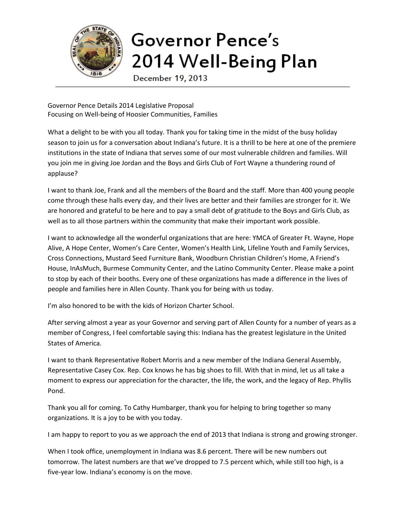

## Governor Pence's 2014 Well-Being Plan

December 19, 2013

Governor Pence Details 2014 Legislative Proposal Focusing on Well-being of Hoosier Communities, Families

What a delight to be with you all today. Thank you for taking time in the midst of the busy holiday season to join us for a conversation about Indiana's future. It is a thrill to be here at one of the premiere institutions in the state of Indiana that serves some of our most vulnerable children and families. Will you join me in giving Joe Jordan and the Boys and Girls Club of Fort Wayne a thundering round of applause?

I want to thank Joe, Frank and all the members of the Board and the staff. More than 400 young people come through these halls every day, and their lives are better and their families are stronger for it. We are honored and grateful to be here and to pay a small debt of gratitude to the Boys and Girls Club, as well as to all those partners within the community that make their important work possible.

I want to acknowledge all the wonderful organizations that are here: YMCA of Greater Ft. Wayne, Hope Alive, A Hope Center, Women's Care Center, Women's Health Link, Lifeline Youth and Family Services, Cross Connections, Mustard Seed Furniture Bank, Woodburn Christian Children's Home, A Friend's House, InAsMuch, Burmese Community Center, and the Latino Community Center. Please make a point to stop by each of their booths. Every one of these organizations has made a difference in the lives of people and families here in Allen County. Thank you for being with us today.

I'm also honored to be with the kids of Horizon Charter School.

After serving almost a year as your Governor and serving part of Allen County for a number of years as a member of Congress, I feel comfortable saying this: Indiana has the greatest legislature in the United States of America.

I want to thank Representative Robert Morris and a new member of the Indiana General Assembly, Representative Casey Cox. Rep. Cox knows he has big shoes to fill. With that in mind, let us all take a moment to express our appreciation for the character, the life, the work, and the legacy of Rep. Phyllis Pond.

Thank you all for coming. To Cathy Humbarger, thank you for helping to bring together so many organizations. It is a joy to be with you today.

I am happy to report to you as we approach the end of 2013 that Indiana is strong and growing stronger.

When I took office, unemployment in Indiana was 8.6 percent. There will be new numbers out tomorrow. The latest numbers are that we've dropped to 7.5 percent which, while still too high, is a five-year low. Indiana's economy is on the move.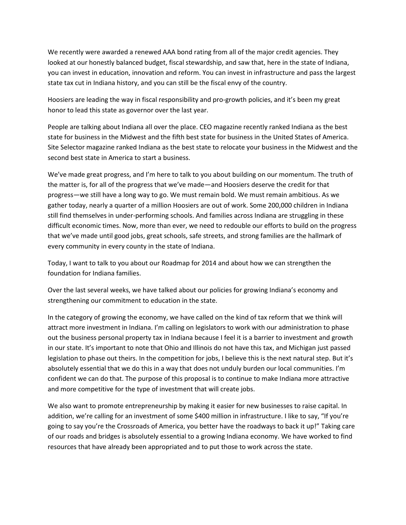We recently were awarded a renewed AAA bond rating from all of the major credit agencies. They looked at our honestly balanced budget, fiscal stewardship, and saw that, here in the state of Indiana, you can invest in education, innovation and reform. You can invest in infrastructure and pass the largest state tax cut in Indiana history, and you can still be the fiscal envy of the country.

Hoosiers are leading the way in fiscal responsibility and pro-growth policies, and it's been my great honor to lead this state as governor over the last year.

People are talking about Indiana all over the place. CEO magazine recently ranked Indiana as the best state for business in the Midwest and the fifth best state for business in the United States of America. Site Selector magazine ranked Indiana as the best state to relocate your business in the Midwest and the second best state in America to start a business.

We've made great progress, and I'm here to talk to you about building on our momentum. The truth of the matter is, for all of the progress that we've made—and Hoosiers deserve the credit for that progress—we still have a long way to go. We must remain bold. We must remain ambitious. As we gather today, nearly a quarter of a million Hoosiers are out of work. Some 200,000 children in Indiana still find themselves in under-performing schools. And families across Indiana are struggling in these difficult economic times. Now, more than ever, we need to redouble our efforts to build on the progress that we've made until good jobs, great schools, safe streets, and strong families are the hallmark of every community in every county in the state of Indiana.

Today, I want to talk to you about our Roadmap for 2014 and about how we can strengthen the foundation for Indiana families.

Over the last several weeks, we have talked about our policies for growing Indiana's economy and strengthening our commitment to education in the state.

In the category of growing the economy, we have called on the kind of tax reform that we think will attract more investment in Indiana. I'm calling on legislators to work with our administration to phase out the business personal property tax in Indiana because I feel it is a barrier to investment and growth in our state. It's important to note that Ohio and Illinois do not have this tax, and Michigan just passed legislation to phase out theirs. In the competition for jobs, I believe this is the next natural step. But it's absolutely essential that we do this in a way that does not unduly burden our local communities. I'm confident we can do that. The purpose of this proposal is to continue to make Indiana more attractive and more competitive for the type of investment that will create jobs.

We also want to promote entrepreneurship by making it easier for new businesses to raise capital. In addition, we're calling for an investment of some \$400 million in infrastructure. I like to say, "If you're going to say you're the Crossroads of America, you better have the roadways to back it up!" Taking care of our roads and bridges is absolutely essential to a growing Indiana economy. We have worked to find resources that have already been appropriated and to put those to work across the state.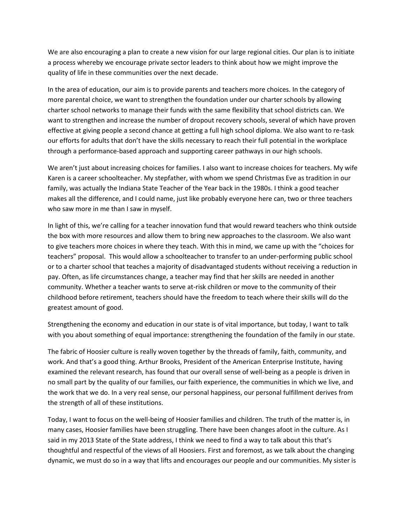We are also encouraging a plan to create a new vision for our large regional cities. Our plan is to initiate a process whereby we encourage private sector leaders to think about how we might improve the quality of life in these communities over the next decade.

In the area of education, our aim is to provide parents and teachers more choices. In the category of more parental choice, we want to strengthen the foundation under our charter schools by allowing charter school networks to manage their funds with the same flexibility that school districts can. We want to strengthen and increase the number of dropout recovery schools, several of which have proven effective at giving people a second chance at getting a full high school diploma. We also want to re-task our efforts for adults that don't have the skills necessary to reach their full potential in the workplace through a performance-based approach and supporting career pathways in our high schools.

We aren't just about increasing choices for families. I also want to increase choices for teachers. My wife Karen is a career schoolteacher. My stepfather, with whom we spend Christmas Eve as tradition in our family, was actually the Indiana State Teacher of the Year back in the 1980s. I think a good teacher makes all the difference, and I could name, just like probably everyone here can, two or three teachers who saw more in me than I saw in myself.

In light of this, we're calling for a teacher innovation fund that would reward teachers who think outside the box with more resources and allow them to bring new approaches to the classroom. We also want to give teachers more choices in where they teach. With this in mind, we came up with the "choices for teachers" proposal. This would allow a schoolteacher to transfer to an under-performing public school or to a charter school that teaches a majority of disadvantaged students without receiving a reduction in pay. Often, as life circumstances change, a teacher may find that her skills are needed in another community. Whether a teacher wants to serve at-risk children or move to the community of their childhood before retirement, teachers should have the freedom to teach where their skills will do the greatest amount of good.

Strengthening the economy and education in our state is of vital importance, but today, I want to talk with you about something of equal importance: strengthening the foundation of the family in our state.

The fabric of Hoosier culture is really woven together by the threads of family, faith, community, and work. And that's a good thing. Arthur Brooks, President of the American Enterprise Institute, having examined the relevant research, has found that our overall sense of well-being as a people is driven in no small part by the quality of our families, our faith experience, the communities in which we live, and the work that we do. In a very real sense, our personal happiness, our personal fulfillment derives from the strength of all of these institutions.

Today, I want to focus on the well-being of Hoosier families and children. The truth of the matter is, in many cases, Hoosier families have been struggling. There have been changes afoot in the culture. As I said in my 2013 State of the State address, I think we need to find a way to talk about this that's thoughtful and respectful of the views of all Hoosiers. First and foremost, as we talk about the changing dynamic, we must do so in a way that lifts and encourages our people and our communities. My sister is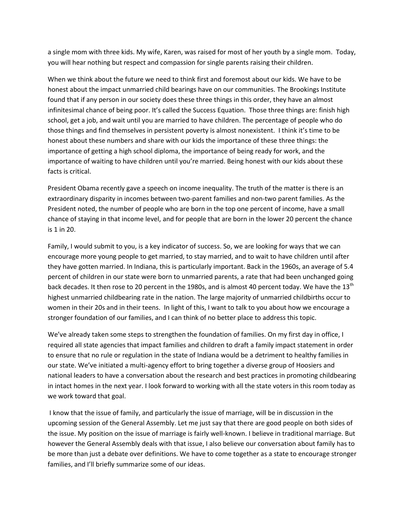a single mom with three kids. My wife, Karen, was raised for most of her youth by a single mom. Today, you will hear nothing but respect and compassion for single parents raising their children.

When we think about the future we need to think first and foremost about our kids. We have to be honest about the impact unmarried child bearings have on our communities. The Brookings Institute found that if any person in our society does these three things in this order, they have an almost infinitesimal chance of being poor. It's called the Success Equation. Those three things are: finish high school, get a job, and wait until you are married to have children. The percentage of people who do those things and find themselves in persistent poverty is almost nonexistent. I think it's time to be honest about these numbers and share with our kids the importance of these three things: the importance of getting a high school diploma, the importance of being ready for work, and the importance of waiting to have children until you're married. Being honest with our kids about these facts is critical.

President Obama recently gave a speech on income inequality. The truth of the matter is there is an extraordinary disparity in incomes between two-parent families and non-two parent families. As the President noted, the number of people who are born in the top one percent of income, have a small chance of staying in that income level, and for people that are born in the lower 20 percent the chance is 1 in 20.

Family, I would submit to you, is a key indicator of success. So, we are looking for ways that we can encourage more young people to get married, to stay married, and to wait to have children until after they have gotten married. In Indiana, this is particularly important. Back in the 1960s, an average of 5.4 percent of children in our state were born to unmarried parents, a rate that had been unchanged going back decades. It then rose to 20 percent in the 1980s, and is almost 40 percent today. We have the 13<sup>th</sup> highest unmarried childbearing rate in the nation. The large majority of unmarried childbirths occur to women in their 20s and in their teens. In light of this, I want to talk to you about how we encourage a stronger foundation of our families, and I can think of no better place to address this topic.

We've already taken some steps to strengthen the foundation of families. On my first day in office, I required all state agencies that impact families and children to draft a family impact statement in order to ensure that no rule or regulation in the state of Indiana would be a detriment to healthy families in our state. We've initiated a multi-agency effort to bring together a diverse group of Hoosiers and national leaders to have a conversation about the research and best practices in promoting childbearing in intact homes in the next year. I look forward to working with all the state voters in this room today as we work toward that goal.

I know that the issue of family, and particularly the issue of marriage, will be in discussion in the upcoming session of the General Assembly. Let me just say that there are good people on both sides of the issue. My position on the issue of marriage is fairly well-known. I believe in traditional marriage. But however the General Assembly deals with that issue, I also believe our conversation about family has to be more than just a debate over definitions. We have to come together as a state to encourage stronger families, and I'll briefly summarize some of our ideas.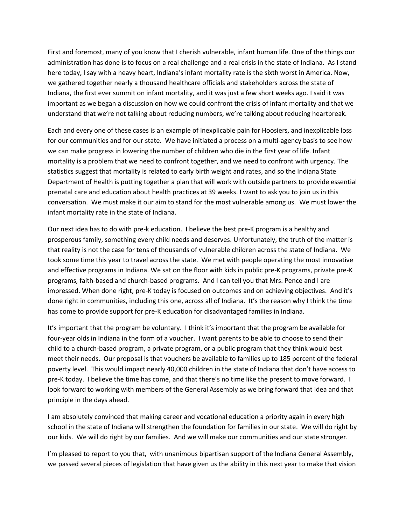First and foremost, many of you know that I cherish vulnerable, infant human life. One of the things our administration has done is to focus on a real challenge and a real crisis in the state of Indiana. As I stand here today, I say with a heavy heart, Indiana's infant mortality rate is the sixth worst in America. Now, we gathered together nearly a thousand healthcare officials and stakeholders across the state of Indiana, the first ever summit on infant mortality, and it was just a few short weeks ago. I said it was important as we began a discussion on how we could confront the crisis of infant mortality and that we understand that we're not talking about reducing numbers, we're talking about reducing heartbreak.

Each and every one of these cases is an example of inexplicable pain for Hoosiers, and inexplicable loss for our communities and for our state. We have initiated a process on a multi-agency basis to see how we can make progress in lowering the number of children who die in the first year of life. Infant mortality is a problem that we need to confront together, and we need to confront with urgency. The statistics suggest that mortality is related to early birth weight and rates, and so the Indiana State Department of Health is putting together a plan that will work with outside partners to provide essential prenatal care and education about health practices at 39 weeks. I want to ask you to join us in this conversation. We must make it our aim to stand for the most vulnerable among us. We must lower the infant mortality rate in the state of Indiana.

Our next idea has to do with pre-k education. I believe the best pre-K program is a healthy and prosperous family, something every child needs and deserves. Unfortunately, the truth of the matter is that reality is not the case for tens of thousands of vulnerable children across the state of Indiana. We took some time this year to travel across the state. We met with people operating the most innovative and effective programs in Indiana. We sat on the floor with kids in public pre-K programs, private pre-K programs, faith-based and church-based programs. And I can tell you that Mrs. Pence and I are impressed. When done right, pre-K today is focused on outcomes and on achieving objectives. And it's done right in communities, including this one, across all of Indiana. It's the reason why I think the time has come to provide support for pre-K education for disadvantaged families in Indiana.

It's important that the program be voluntary. I think it's important that the program be available for four-year olds in Indiana in the form of a voucher. I want parents to be able to choose to send their child to a church-based program, a private program, or a public program that they think would best meet their needs. Our proposal is that vouchers be available to families up to 185 percent of the federal poverty level. This would impact nearly 40,000 children in the state of Indiana that don't have access to pre-K today. I believe the time has come, and that there's no time like the present to move forward. I look forward to working with members of the General Assembly as we bring forward that idea and that principle in the days ahead.

I am absolutely convinced that making career and vocational education a priority again in every high school in the state of Indiana will strengthen the foundation for families in our state. We will do right by our kids. We will do right by our families. And we will make our communities and our state stronger.

I'm pleased to report to you that, with unanimous bipartisan support of the Indiana General Assembly, we passed several pieces of legislation that have given us the ability in this next year to make that vision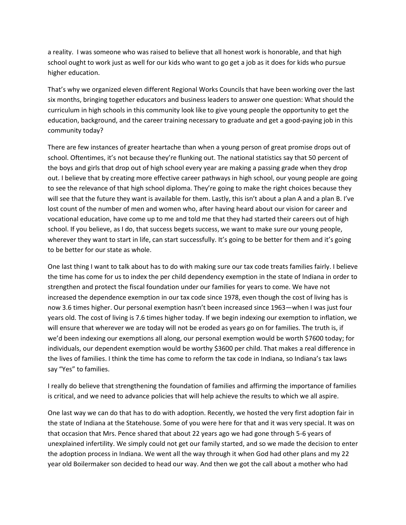a reality. I was someone who was raised to believe that all honest work is honorable, and that high school ought to work just as well for our kids who want to go get a job as it does for kids who pursue higher education.

That's why we organized eleven different Regional Works Councils that have been working over the last six months, bringing together educators and business leaders to answer one question: What should the curriculum in high schools in this community look like to give young people the opportunity to get the education, background, and the career training necessary to graduate and get a good-paying job in this community today?

There are few instances of greater heartache than when a young person of great promise drops out of school. Oftentimes, it's not because they're flunking out. The national statistics say that 50 percent of the boys and girls that drop out of high school every year are making a passing grade when they drop out. I believe that by creating more effective career pathways in high school, our young people are going to see the relevance of that high school diploma. They're going to make the right choices because they will see that the future they want is available for them. Lastly, this isn't about a plan A and a plan B. I've lost count of the number of men and women who, after having heard about our vision for career and vocational education, have come up to me and told me that they had started their careers out of high school. If you believe, as I do, that success begets success, we want to make sure our young people, wherever they want to start in life, can start successfully. It's going to be better for them and it's going to be better for our state as whole.

One last thing I want to talk about has to do with making sure our tax code treats families fairly. I believe the time has come for us to index the per child dependency exemption in the state of Indiana in order to strengthen and protect the fiscal foundation under our families for years to come. We have not increased the dependence exemption in our tax code since 1978, even though the cost of living has is now 3.6 times higher. Our personal exemption hasn't been increased since 1963—when I was just four years old. The cost of living is 7.6 times higher today. If we begin indexing our exemption to inflation, we will ensure that wherever we are today will not be eroded as years go on for families. The truth is, if we'd been indexing our exemptions all along, our personal exemption would be worth \$7600 today; for individuals, our dependent exemption would be worthy \$3600 per child. That makes a real difference in the lives of families. I think the time has come to reform the tax code in Indiana, so Indiana's tax laws say "Yes" to families.

I really do believe that strengthening the foundation of families and affirming the importance of families is critical, and we need to advance policies that will help achieve the results to which we all aspire.

One last way we can do that has to do with adoption. Recently, we hosted the very first adoption fair in the state of Indiana at the Statehouse. Some of you were here for that and it was very special. It was on that occasion that Mrs. Pence shared that about 22 years ago we had gone through 5-6 years of unexplained infertility. We simply could not get our family started, and so we made the decision to enter the adoption process in Indiana. We went all the way through it when God had other plans and my 22 year old Boilermaker son decided to head our way. And then we got the call about a mother who had